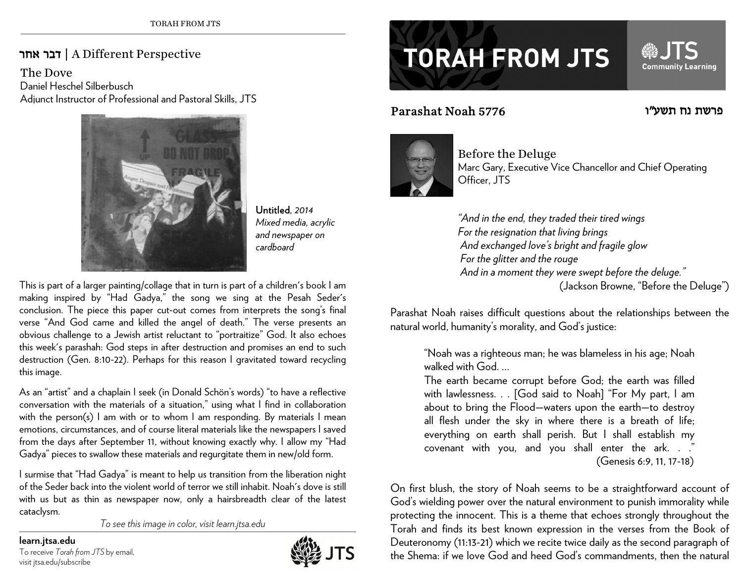## אחר דבר | A Different Perspective

The DoveDaniel Heschel Silberbusch Adjunct Instructor of Professional and Pastoral Skills, JTS



Untitled*, 2014 Mixed media, acrylic and newspaper on cardboard* 

This is part of a larger painting/collage that in turn is part of a children's book I am making inspired by "Had Gadya," the song we sing at the Pesah Seder's conclusion. The piece this paper cut-out comes from interprets the song's final verse "And God came and killed the angel of death." The verse presents an obvious challenge to a Jewish artist reluctant to "portraitize" God. It also echoes this week's parashah: God steps in after destruction and promises an end to such destruction (Gen. 8:10-22). Perhaps for this reason I gravitated toward recycling this image.

As an "artist" and a chaplain I seek (in Donald Schön's words) "to have a reflective conversation with the materials of a situation," using what I find in collaboration with the person(s) I am with or to whom I am responding. By materials I mean emotions, circumstances, and of course literal materials like the newspapers I saved from the days after September 11, without knowing exactly why. I allow my "Had Gadya" pieces to swallow these materials and regurgitate them in new/old form.

I surmise that "Had Gadya" is meant to help us transition from the liberation night of the Seder back into the violent world of terror we still inhabit. Noah's dove is still with us but as thin as newspaper now, only a hairsbreadth clear of the latest cataclysm.

*To see this image in color, visit learn.jtsa.edu* 

## **learn.jtsa.edu**

To receive *Torah from JTS* by email, visit jtsa.edu/subscribe



## **TORAH FROM JTS**

## 5776 Noah Parashat



Before the Deluge Marc Gary, Executive Vice Chancellor and Chief Operating Officer, JTS

פרשת נח תשע"ו

**Community Learning** 

*"And in the end, they traded their tired wings For the resignation that living brings And exchanged love's bright and fragile glow For the glitter and the rouge And in a moment they were swept before the deluge."*  (Jackson Browne, "Before the Deluge")

Parashat Noah raises difficult questions about the relationships between the natural world, humanity's morality, and God's justice:

> "Noah was a righteous man; he was blameless in his age; Noah walked with God. …

> The earth became corrupt before God; the earth was filled with lawlessness. . . [God said to Noah] "For My part, I am about to bring the Flood—waters upon the earth—to destroy all flesh under the sky in where there is a breath of life; everything on earth shall perish. But I shall establish my covenant with you, and you shall enter the ark. . ." (Genesis 6:9, 11, 17-18)

On first blush, the story of Noah seems to be a straightforward account of God's wielding power over the natural environment to punish immorality while protecting the innocent. This is a theme that echoes strongly throughout the Torah and finds its best known expression in the verses from the Book of Deuteronomy (11:13-21) which we recite twice daily as the second paragraph of the Shema: if we love God and heed God's commandments, then the natural